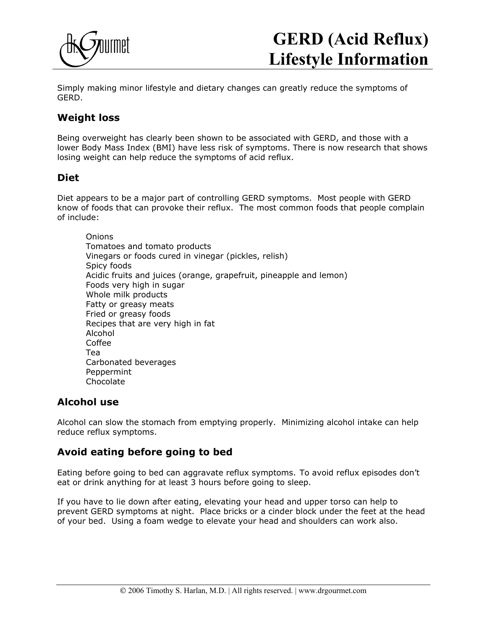

# GERD (Acid Reflux) Lifestyle Information

Simply making minor lifestyle and dietary changes can greatly reduce the symptoms of GERD.

## **Weight loss**

Being overweight has clearly been shown to be associated with GERD, and those with a lower Body Mass Index (BMI) have less risk of symptoms. There is now research that shows losing weight can help reduce the symptoms of acid reflux.

#### **Diet**

Diet appears to be a major part of controlling GERD symptoms. Most people with GERD know of foods that can provoke their reflux. The most common foods that people complain of include:

Onions Tomatoes and tomato products Vinegars or foods cured in vinegar (pickles, relish) Spicy foods Acidic fruits and juices (orange, grapefruit, pineapple and lemon) Foods very high in sugar Whole milk products Fatty or greasy meats Fried or greasy foods Recipes that are very high in fat Alcohol Coffee Tea Carbonated beverages Peppermint Chocolate

### **Alcohol use**

Alcohol can slow the stomach from emptying properly. Minimizing alcohol intake can help reduce reflux symptoms.

### **Avoid eating before going to bed**

Eating before going to bed can aggravate reflux symptoms. To avoid reflux episodes don't eat or drink anything for at least 3 hours before going to sleep.

If you have to lie down after eating, elevating your head and upper torso can help to prevent GERD symptoms at night. Place bricks or a cinder block under the feet at the head of your bed. Using a foam wedge to elevate your head and shoulders can work also.